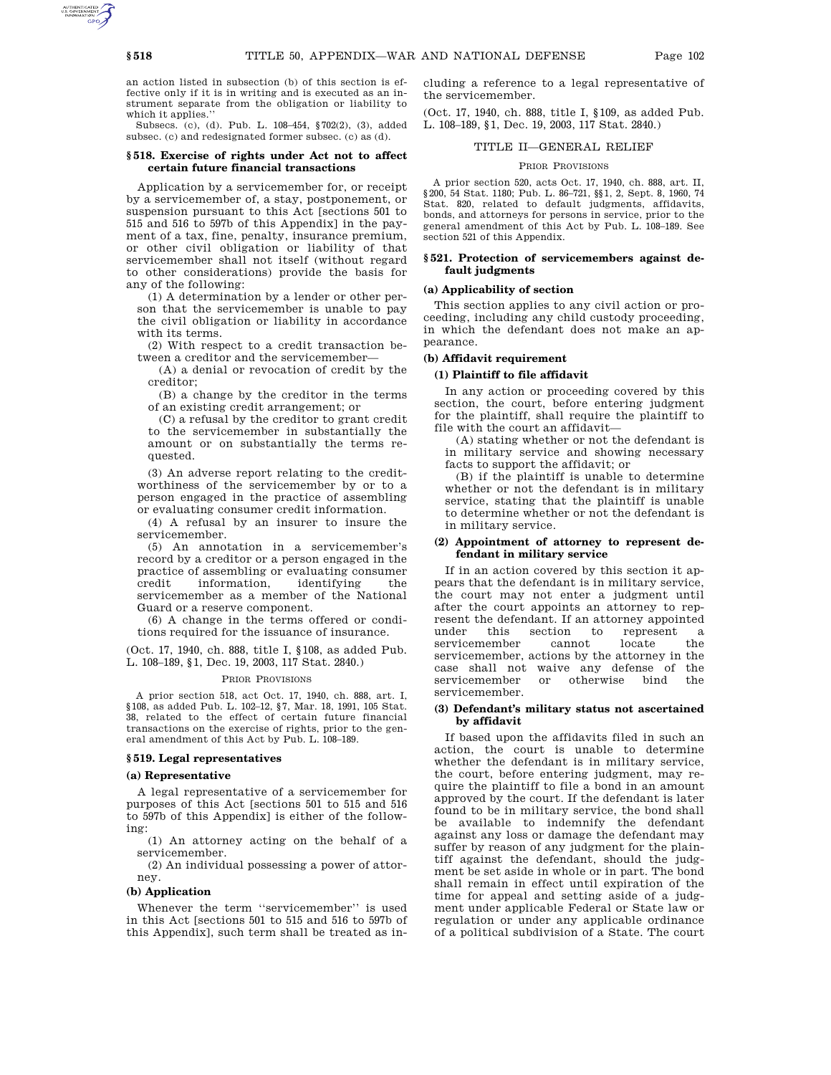an action listed in subsection (b) of this section is effective only if it is in writing and is executed as an instrument separate from the obligation or liability to which it applies.''

Subsecs. (c), (d). Pub. L. 108–454, §702(2), (3), added subsec. (c) and redesignated former subsec. (c) as (d).

#### **§ 518. Exercise of rights under Act not to affect certain future financial transactions**

Application by a servicemember for, or receipt by a servicemember of, a stay, postponement, or suspension pursuant to this Act [sections 501 to 515 and 516 to 597b of this Appendix] in the payment of a tax, fine, penalty, insurance premium, or other civil obligation or liability of that servicemember shall not itself (without regard to other considerations) provide the basis for any of the following:

(1) A determination by a lender or other person that the servicemember is unable to pay the civil obligation or liability in accordance with its terms.

(2) With respect to a credit transaction between a creditor and the servicemember—

(A) a denial or revocation of credit by the creditor;

(B) a change by the creditor in the terms of an existing credit arrangement; or

(C) a refusal by the creditor to grant credit to the servicemember in substantially the amount or on substantially the terms requested.

(3) An adverse report relating to the creditworthiness of the servicemember by or to a person engaged in the practice of assembling or evaluating consumer credit information.

(4) A refusal by an insurer to insure the servicemember.

(5) An annotation in a servicemember's record by a creditor or a person engaged in the practice of assembling or evaluating consumer credit information, identifying the servicemember as a member of the National Guard or a reserve component.

(6) A change in the terms offered or conditions required for the issuance of insurance.

(Oct. 17, 1940, ch. 888, title I, §108, as added Pub. L. 108–189, §1, Dec. 19, 2003, 117 Stat. 2840.)

#### PRIOR PROVISIONS

A prior section 518, act Oct. 17, 1940, ch. 888, art. I, §108, as added Pub. L. 102–12, §7, Mar. 18, 1991, 105 Stat. 38, related to the effect of certain future financial transactions on the exercise of rights, prior to the general amendment of this Act by Pub. L. 108–189.

## **§ 519. Legal representatives**

## **(a) Representative**

A legal representative of a servicemember for purposes of this Act [sections 501 to 515 and 516 to 597b of this Appendix] is either of the following:

(1) An attorney acting on the behalf of a servicemember.

(2) An individual possessing a power of attorney.

#### **(b) Application**

Whenever the term ''servicemember'' is used in this Act [sections 501 to 515 and 516 to 597b of this Appendix], such term shall be treated as including a reference to a legal representative of the servicemember.

(Oct. 17, 1940, ch. 888, title I, §109, as added Pub. L. 108–189, §1, Dec. 19, 2003, 117 Stat. 2840.)

### TITLE II—GENERAL RELIEF

#### PRIOR PROVISIONS

A prior section 520, acts Oct. 17, 1940, ch. 888, art. II, §200, 54 Stat. 1180; Pub. L. 86–721, §§1, 2, Sept. 8, 1960, 74 Stat. 820, related to default judgments, affidavits, bonds, and attorneys for persons in service, prior to the general amendment of this Act by Pub. L. 108–189. See section 521 of this Appendix.

### **§ 521. Protection of servicemembers against default judgments**

### **(a) Applicability of section**

This section applies to any civil action or proceeding, including any child custody proceeding, in which the defendant does not make an appearance.

# **(b) Affidavit requirement**

### **(1) Plaintiff to file affidavit**

In any action or proceeding covered by this section, the court, before entering judgment for the plaintiff, shall require the plaintiff to file with the court an affidavit—

(A) stating whether or not the defendant is in military service and showing necessary facts to support the affidavit; or

(B) if the plaintiff is unable to determine whether or not the defendant is in military service, stating that the plaintiff is unable to determine whether or not the defendant is in military service.

### **(2) Appointment of attorney to represent defendant in military service**

If in an action covered by this section it appears that the defendant is in military service, the court may not enter a judgment until after the court appoints an attorney to represent the defendant. If an attorney appointed under this section to represent a servicemember cannot locate the servicemember, actions by the attorney in the case shall not waive any defense of the servicemember or otherwise bind the servicemember.

### **(3) Defendant's military status not ascertained by affidavit**

If based upon the affidavits filed in such an action, the court is unable to determine whether the defendant is in military service, the court, before entering judgment, may require the plaintiff to file a bond in an amount approved by the court. If the defendant is later found to be in military service, the bond shall be available to indemnify the defendant against any loss or damage the defendant may suffer by reason of any judgment for the plaintiff against the defendant, should the judgment be set aside in whole or in part. The bond shall remain in effect until expiration of the time for appeal and setting aside of a judgment under applicable Federal or State law or regulation or under any applicable ordinance of a political subdivision of a State. The court